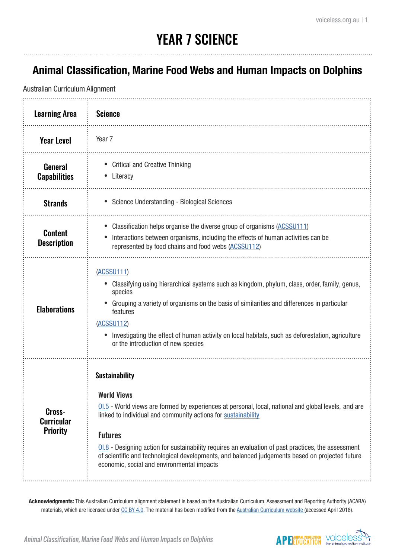## YEAR 7 SCIENCE

### **Animal Classification, Marine Food Webs and Human Impacts on Dolphins**

Australian Curriculum Alignment

| <b>Learning Area</b>                           | <b>Science</b>                                                                                                                                                                                                                                                                                                                                                                                                                                                                                   |
|------------------------------------------------|--------------------------------------------------------------------------------------------------------------------------------------------------------------------------------------------------------------------------------------------------------------------------------------------------------------------------------------------------------------------------------------------------------------------------------------------------------------------------------------------------|
| <b>Year Level</b>                              | Year 7                                                                                                                                                                                                                                                                                                                                                                                                                                                                                           |
| <b>General</b><br><b>Capabilities</b>          | <b>Critical and Creative Thinking</b><br>Literacy                                                                                                                                                                                                                                                                                                                                                                                                                                                |
| <b>Strands</b>                                 | Science Understanding - Biological Sciences                                                                                                                                                                                                                                                                                                                                                                                                                                                      |
| <b>Content</b><br><b>Description</b>           | Classification helps organise the diverse group of organisms (ACSSU111)<br>Interactions between organisms, including the effects of human activities can be<br>represented by food chains and food webs (ACSSU112)                                                                                                                                                                                                                                                                               |
| <b>Elaborations</b>                            | (ACSSU111)<br>Classifying using hierarchical systems such as kingdom, phylum, class, order, family, genus,<br>species<br>Grouping a variety of organisms on the basis of similarities and differences in particular<br>features<br>(ACSSU112)<br>Investigating the effect of human activity on local habitats, such as deforestation, agriculture<br>or the introduction of new species                                                                                                          |
| Cross-<br><b>Curricular</b><br><b>Priority</b> | <b>Sustainability</b><br><b>World Views</b><br>01.5 - World views are formed by experiences at personal, local, national and global levels, and are<br>linked to individual and community actions for sustainability<br><b>Futures</b><br>$01.8$ - Designing action for sustainability requires an evaluation of past practices, the assessment<br>of scientific and technological developments, and balanced judgements based on projected future<br>economic, social and environmental impacts |

**Acknowledgments:** This Australian Curriculum alignment statement is based on the Australian Curriculum, Assessment and Reporting Authority (ACARA) materials, which are licensed under [CC BY 4.0](https://creativecommons.org/licenses/by/4.0). The material has been modified from the [Australian Curriculum website \(](http://www.australiancurriculum.edu.au)accessed April 2018).

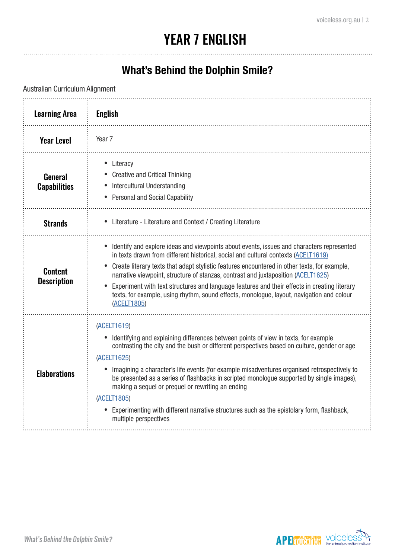### YEAR 7 ENGLISH

### **What's Behind the Dolphin Smile?**

Australian Curriculum Alignment

| <b>Learning Area</b>                  | <b>English</b>                                                                                                                                                                                                                                                                                                                                                                                                                                                                                                                                                                                         |
|---------------------------------------|--------------------------------------------------------------------------------------------------------------------------------------------------------------------------------------------------------------------------------------------------------------------------------------------------------------------------------------------------------------------------------------------------------------------------------------------------------------------------------------------------------------------------------------------------------------------------------------------------------|
| <b>Year Level</b>                     | Year <sub>7</sub>                                                                                                                                                                                                                                                                                                                                                                                                                                                                                                                                                                                      |
| <b>General</b><br><b>Capabilities</b> | Literacy<br>$\bullet$<br><b>Creative and Critical Thinking</b><br>Intercultural Understanding<br><b>Personal and Social Capability</b>                                                                                                                                                                                                                                                                                                                                                                                                                                                                 |
| <b>Strands</b>                        | • Literature - Literature and Context / Creating Literature                                                                                                                                                                                                                                                                                                                                                                                                                                                                                                                                            |
| <b>Content</b><br><b>Description</b>  | Identify and explore ideas and viewpoints about events, issues and characters represented<br>in texts drawn from different historical, social and cultural contexts (ACELT1619)<br>Create literary texts that adapt stylistic features encountered in other texts, for example,<br>narrative viewpoint, structure of stanzas, contrast and juxtaposition (ACELT1625)<br>Experiment with text structures and language features and their effects in creating literary<br>texts, for example, using rhythm, sound effects, monologue, layout, navigation and colour<br>(ACELT1805)                       |
| <b>Elaborations</b>                   | (ACELT1619)<br>Identifying and explaining differences between points of view in texts, for example<br>contrasting the city and the bush or different perspectives based on culture, gender or age<br>(ACELT1625)<br>Imagining a character's life events (for example misadventures organised retrospectively to<br>be presented as a series of flashbacks in scripted monologue supported by single images),<br>making a sequel or prequel or rewriting an ending<br>(ACELT1805)<br>Experimenting with different narrative structures such as the epistolary form, flashback,<br>multiple perspectives |

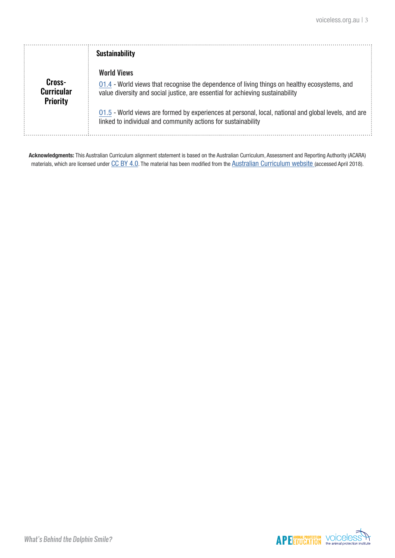|                                                | <b>Sustainability</b>                                                                                                                                                                                                                                                                                                                                                         |
|------------------------------------------------|-------------------------------------------------------------------------------------------------------------------------------------------------------------------------------------------------------------------------------------------------------------------------------------------------------------------------------------------------------------------------------|
| Cross-<br><b>Curricular</b><br><b>Priority</b> | <b>World Views</b><br>01.4 - World views that recognise the dependence of living things on healthy ecosystems, and<br>value diversity and social justice, are essential for achieving sustainability<br>01.5 - World views are formed by experiences at personal, local, national and global levels, and are<br>linked to individual and community actions for sustainability |

**Acknowledgments:** This Australian Curriculum alignment statement is based on the Australian Curriculum, Assessment and Reporting Authority (ACARA) materials, which are licensed under [CC BY 4.0](https://creativecommons.org/licenses/by/4.0). The material has been modified from the [Australian Curriculum website](http://www.australiancurriculum.edu.au) (accessed April 2018).

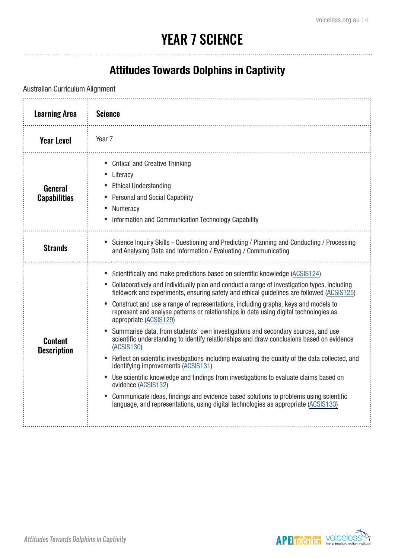## YEAR 7 SCIENCE

### **Attitudes Towards Dolphins in Captivity**

Australian Curriculum Alignment Learning Area **Science** Year Level i Year 7 • Critical and Creative Thinking **Literacy Ethical Understanding** General • Personal and Social Capability **Capabilities Numeracy** • Information and Communication Technology Capability Strands • Science Inquiry Skills - Questioning and Predicting / Planning and Conducting / Processing<br>
Strands and Analysing Data and Information / Evaluating / Communicating and Analysing Data and Information / Evaluating / Communicating • Scientifically and make predictions based on scientific knowledge [\(ACSIS124](http://www.scootle.edu.au/ec/search?accContentId=ACSIS124)) • Collaboratively and individually plan and conduct a range of investigation types, including fieldwork and experiments, ensuring safety and ethical guidelines are followed [\(ACSIS125](http://www.scootle.edu.au/ec/search?accContentId=ACSIS125)) • Construct and use a range of representations, including graphs, keys and models to represent and analyse patterns or relationships in data using digital technologies as appropriate ([ACSIS129](http://www.scootle.edu.au/ec/search?accContentId=ACSIS129)) • Summarise data, from students' own investigations and secondary sources, and use scientific understanding to identify relationships and draw conclusions based on evidence Content ([ACSIS130](http://www.scootle.edu.au/ec/search?q=ACSIS130&field=title&field=text.all&field=topic)) **Description** Reflect on scientific investigations including evaluating the quality of the data collected, and identifying improvements [\(ACSIS131](http://www.scootle.edu.au/ec/search?accContentId=ACSIS131)) Use scientific knowledge and findings from investigations to evaluate claims based on evidence ([ACSIS132\)](http://www.scootle.edu.au/ec/search?accContentId=ACSIS132) • Communicate ideas, findings and evidence based solutions to problems using scientific language, and representations, using digital technologies as appropriate ([ACSIS133\)](http://www.scootle.edu.au/ec/search?accContentId=ACSIS133)

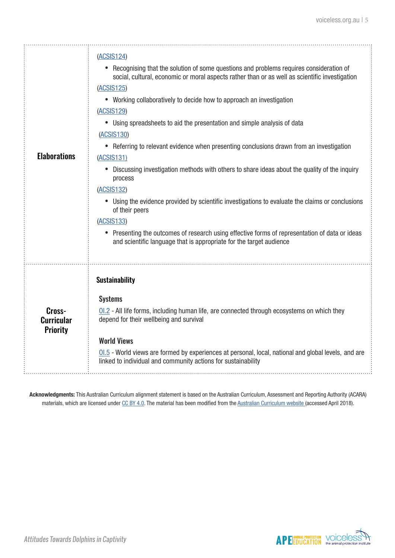| <b>Elaborations</b>                            | (ACSIS124)<br>• Recognising that the solution of some questions and problems requires consideration of<br>social, cultural, economic or moral aspects rather than or as well as scientific investigation<br>(ACSIS125)<br>• Working collaboratively to decide how to approach an investigation<br>(ACSIS129)<br>• Using spreadsheets to aid the presentation and simple analysis of data<br>(ACSIS130)<br>• Referring to relevant evidence when presenting conclusions drawn from an investigation<br>(ACSIS131)<br>Discussing investigation methods with others to share ideas about the quality of the inquiry<br>process<br>(ACSIS132)<br>• Using the evidence provided by scientific investigations to evaluate the claims or conclusions<br>of their peers |
|------------------------------------------------|-----------------------------------------------------------------------------------------------------------------------------------------------------------------------------------------------------------------------------------------------------------------------------------------------------------------------------------------------------------------------------------------------------------------------------------------------------------------------------------------------------------------------------------------------------------------------------------------------------------------------------------------------------------------------------------------------------------------------------------------------------------------|
| Cross-<br><b>Curricular</b><br><b>Priority</b> | <b>Sustainability</b><br><b>Systems</b><br>01.2 - All life forms, including human life, are connected through ecosystems on which they<br>depend for their wellbeing and survival<br><b>World Views</b><br>01.5 - World views are formed by experiences at personal, local, national and global levels, and are<br>linked to individual and community actions for sustainability                                                                                                                                                                                                                                                                                                                                                                                |

**Acknowledgments:** This Australian Curriculum alignment statement is based on the Australian Curriculum, Assessment and Reporting Authority (ACARA) materials, which are licensed under [CC BY 4.0](https://creativecommons.org/licenses/by/4.0). The material has been modified from the [Australian Curriculum website](http://www.australiancurriculum.edu.au) (accessed April 2018).

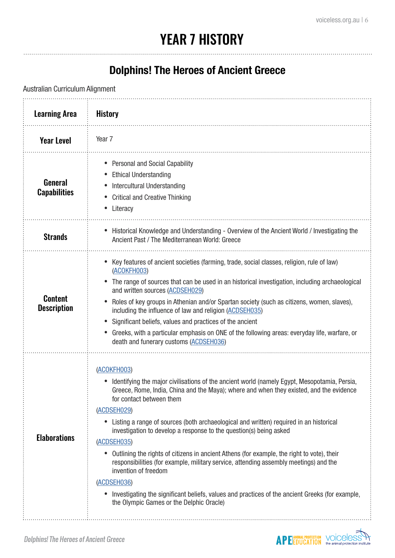# YEAR 7 HISTORY

#### **Dolphins! The Heroes of Ancient Greece**

Australian Curriculum Alignment

| <b>Learning Area</b>                 | <b>History</b>                                                                                                                                                                                                                                                                                                                                                                                                                                                                                                                                                                                                                                                                                                                                                                                                                                       |
|--------------------------------------|------------------------------------------------------------------------------------------------------------------------------------------------------------------------------------------------------------------------------------------------------------------------------------------------------------------------------------------------------------------------------------------------------------------------------------------------------------------------------------------------------------------------------------------------------------------------------------------------------------------------------------------------------------------------------------------------------------------------------------------------------------------------------------------------------------------------------------------------------|
| <b>Year Level</b>                    | Year <sub>7</sub>                                                                                                                                                                                                                                                                                                                                                                                                                                                                                                                                                                                                                                                                                                                                                                                                                                    |
| General<br><b>Capabilities</b>       | Personal and Social Capability<br><b>Ethical Understanding</b><br>Intercultural Understanding<br><b>Critical and Creative Thinking</b><br>Literacy                                                                                                                                                                                                                                                                                                                                                                                                                                                                                                                                                                                                                                                                                                   |
| <b>Strands</b>                       | Historical Knowledge and Understanding - Overview of the Ancient World / Investigating the<br>$\bullet$<br>Ancient Past / The Mediterranean World: Greece                                                                                                                                                                                                                                                                                                                                                                                                                                                                                                                                                                                                                                                                                            |
| <b>Content</b><br><b>Description</b> | Key features of ancient societies (farming, trade, social classes, religion, rule of law)<br>$\bullet$<br>(ACOKFH003)<br>The range of sources that can be used in an historical investigation, including archaeological<br>and written sources (ACDSEH029)<br>Roles of key groups in Athenian and/or Spartan society (such as citizens, women, slaves),<br>including the influence of law and religion (ACDSEH035)<br>Significant beliefs, values and practices of the ancient<br>Greeks, with a particular emphasis on ONE of the following areas: everyday life, warfare, or<br>death and funerary customs (ACDSEH036)                                                                                                                                                                                                                             |
| <b>Elaborations</b>                  | (ACOKFH003)<br>Identifying the major civilisations of the ancient world (namely Egypt, Mesopotamia, Persia,<br>Greece, Rome, India, China and the Maya); where and when they existed, and the evidence<br>for contact between them<br>(ACDSEH029)<br>Listing a range of sources (both archaeological and written) required in an historical<br>$\bullet$<br>investigation to develop a response to the question(s) being asked<br>(ACDSEH035)<br>Outlining the rights of citizens in ancient Athens (for example, the right to vote), their<br>$\bullet$<br>responsibilities (for example, military service, attending assembly meetings) and the<br>invention of freedom<br>(ACDSEH036)<br>Investigating the significant beliefs, values and practices of the ancient Greeks (for example,<br>$\bullet$<br>the Olympic Games or the Delphic Oracle) |

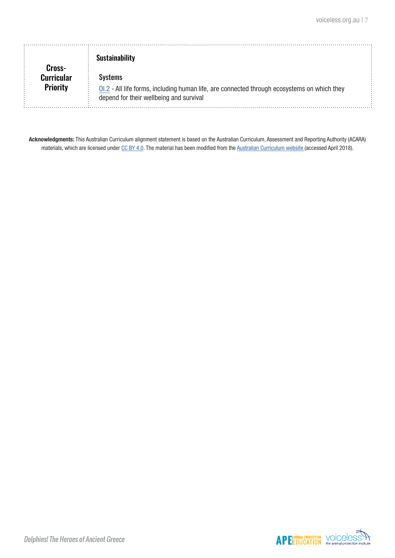| Cross-                        | <b>Sustainability</b>                                                                                                                             |  |
|-------------------------------|---------------------------------------------------------------------------------------------------------------------------------------------------|--|
| Curricular<br><b>Priority</b> | Systems<br>OI.2 - All life forms, including human life, are connected through ecosystems on which they<br>depend for their wellbeing and survival |  |

**Acknowledgments:** This Australian Curriculum alignment statement is based on the Australian Curriculum, Assessment and Reporting Authority (ACARA) materials, which are licensed under [CC BY 4.0](https://creativecommons.org/licenses/by/4.0). The material has been modified from the [Australian Curriculum website](http://www.australiancurriculum.edu.au) (accessed April 2018).

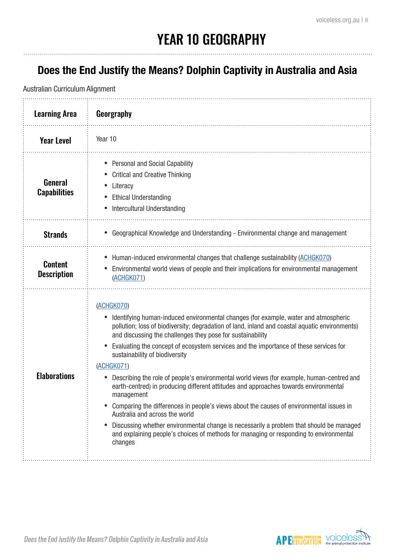### **Does the End Justify the Means? Dolphin Captivity in Australia and Asia**

Australian Curriculum Alignment

| <b>Learning Area</b>                  | Georgraphy                                                                                                                                                                                                                                                                                                                                                                                                                                                                                                                                                                                                                                                                                                                                                                                                                                                                                                                                 |
|---------------------------------------|--------------------------------------------------------------------------------------------------------------------------------------------------------------------------------------------------------------------------------------------------------------------------------------------------------------------------------------------------------------------------------------------------------------------------------------------------------------------------------------------------------------------------------------------------------------------------------------------------------------------------------------------------------------------------------------------------------------------------------------------------------------------------------------------------------------------------------------------------------------------------------------------------------------------------------------------|
| <b>Year Level</b>                     | Year 10                                                                                                                                                                                                                                                                                                                                                                                                                                                                                                                                                                                                                                                                                                                                                                                                                                                                                                                                    |
| <b>General</b><br><b>Capabilities</b> | <b>Personal and Social Capability</b><br><b>Critical and Creative Thinking</b><br>Literacy<br><b>Ethical Understanding</b><br><b>Intercultural Understanding</b>                                                                                                                                                                                                                                                                                                                                                                                                                                                                                                                                                                                                                                                                                                                                                                           |
| <b>Strands</b>                        | Geographical Knowledge and Understanding - Environmental change and management                                                                                                                                                                                                                                                                                                                                                                                                                                                                                                                                                                                                                                                                                                                                                                                                                                                             |
| <b>Content</b><br><b>Description</b>  | Human-induced environmental changes that challenge sustainability (ACHGK070)<br>Environmental world views of people and their implications for environmental management<br>(ACHGK071)                                                                                                                                                                                                                                                                                                                                                                                                                                                                                                                                                                                                                                                                                                                                                      |
| <b>Elaborations</b>                   | (ACHGK070)<br>Identifying human-induced environmental changes (for example, water and atmospheric<br>pollution; loss of biodiversity; degradation of land, inland and coastal aquatic environments)<br>and discussing the challenges they pose for sustainability<br>Evaluating the concept of ecosystem services and the importance of these services for<br>sustainability of biodiversity<br>(ACHGK071)<br>Describing the role of people's environmental world views (for example, human-centred and<br>earth-centred) in producing different attitudes and approaches towards environmental<br>management<br>Comparing the differences in people's views about the causes of environmental issues in<br>Australia and across the world<br>Discussing whether environmental change is necessarily a problem that should be managed<br>and explaining people's choices of methods for managing or responding to environmental<br>changes |